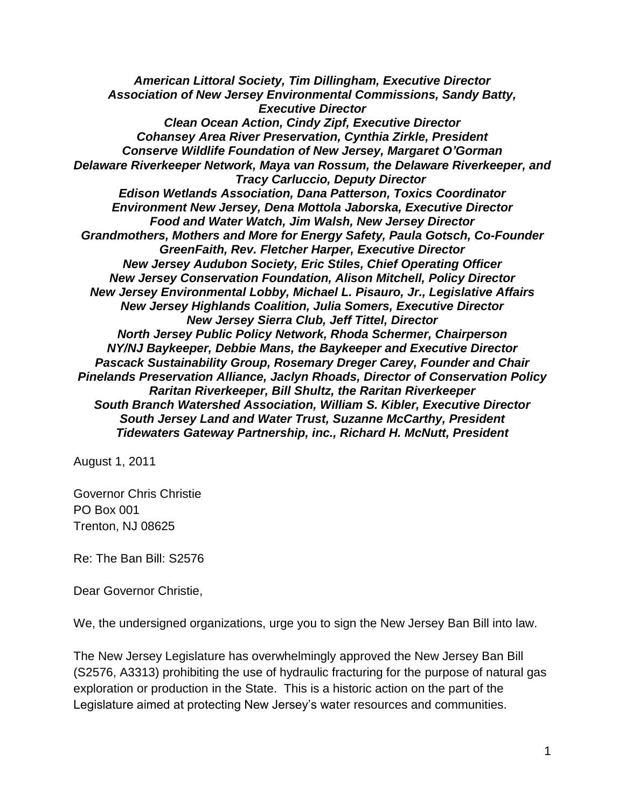*American Littoral Society, Tim Dillingham, Executive Director Association of New Jersey Environmental Commissions, Sandy Batty, Executive Director Clean Ocean Action, Cindy Zipf, Executive Director Cohansey Area River Preservation, Cynthia Zirkle, President Conserve Wildlife Foundation of New Jersey, Margaret O'Gorman Delaware Riverkeeper Network, Maya van Rossum, the Delaware Riverkeeper, and Tracy Carluccio, Deputy Director Edison Wetlands Association, Dana Patterson, Toxics Coordinator Environment New Jersey, Dena Mottola Jaborska, Executive Director Food and Water Watch, Jim Walsh, New Jersey Director Grandmothers, Mothers and More for Energy Safety, Paula Gotsch, Co-Founder GreenFaith, Rev. Fletcher Harper, Executive Director New Jersey Audubon Society, Eric Stiles, Chief Operating Officer New Jersey Conservation Foundation, Alison Mitchell, Policy Director New Jersey Environmental Lobby, Michael L. Pisauro, Jr., Legislative Affairs New Jersey Highlands Coalition, Julia Somers, Executive Director New Jersey Sierra Club, Jeff Tittel, Director North Jersey Public Policy Network, Rhoda Schermer, Chairperson NY/NJ Baykeeper, Debbie Mans, the Baykeeper and Executive Director Pascack Sustainability Group, Rosemary Dreger Carey, Founder and Chair Pinelands Preservation Alliance, Jaclyn Rhoads, Director of Conservation Policy Raritan Riverkeeper, Bill Shultz, the Raritan Riverkeeper South Branch Watershed Association, William S. Kibler, Executive Director South Jersey Land and Water Trust, Suzanne McCarthy, President Tidewaters Gateway Partnership, inc., Richard H. McNutt, President*

August 1, 2011

Governor Chris Christie PO Box 001 Trenton, NJ 08625

Re: The Ban Bill: S2576

Dear Governor Christie,

We, the undersigned organizations, urge you to sign the New Jersey Ban Bill into law.

The New Jersey Legislature has overwhelmingly approved the New Jersey Ban Bill (S2576, A3313) prohibiting the use of hydraulic fracturing for the purpose of natural gas exploration or production in the State. This is a historic action on the part of the Legislature aimed at protecting New Jersey's water resources and communities.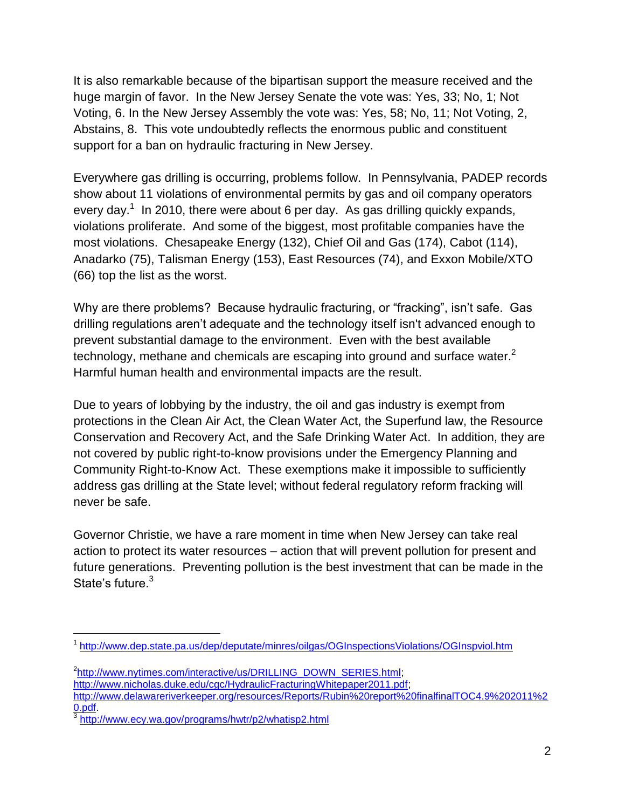It is also remarkable because of the bipartisan support the measure received and the huge margin of favor. In the New Jersey Senate the vote was: Yes, 33; No, 1; Not Voting, 6. In the New Jersey Assembly the vote was: Yes, 58; No, 11; Not Voting, 2, Abstains, 8. This vote undoubtedly reflects the enormous public and constituent support for a ban on hydraulic fracturing in New Jersey.

Everywhere gas drilling is occurring, problems follow. In Pennsylvania, PADEP records show about 11 violations of environmental permits by gas and oil company operators every day.<sup>1</sup> In 2010, there were about 6 per day. As gas drilling quickly expands, violations proliferate. And some of the biggest, most profitable companies have the most violations. Chesapeake Energy (132), Chief Oil and Gas (174), Cabot (114), Anadarko (75), Talisman Energy (153), East Resources (74), and Exxon Mobile/XTO (66) top the list as the worst.

Why are there problems? Because hydraulic fracturing, or "fracking", isn't safe. Gas drilling regulations aren't adequate and the technology itself isn't advanced enough to prevent substantial damage to the environment. Even with the best available technology, methane and chemicals are escaping into ground and surface water.<sup>2</sup> Harmful human health and environmental impacts are the result.

Due to years of lobbying by the industry, the oil and gas industry is exempt from protections in the Clean Air Act, the Clean Water Act, the Superfund law, the Resource Conservation and Recovery Act, and the Safe Drinking Water Act. In addition, they are not covered by public right-to-know provisions under the Emergency Planning and Community Right-to-Know Act. These exemptions make it impossible to sufficiently address gas drilling at the State level; without federal regulatory reform fracking will never be safe.

Governor Christie, we have a rare moment in time when New Jersey can take real action to protect its water resources – action that will prevent pollution for present and future generations. Preventing pollution is the best investment that can be made in the State's future.<sup>3</sup>

 $\overline{a}$ 

<sup>&</sup>lt;sup>1</sup><http://www.dep.state.pa.us/dep/deputate/minres/oilgas/OGInspectionsViolations/OGInspviol.htm>

<sup>&</sup>lt;sup>2</sup>[http://www.nytimes.com/interactive/us/DRILLING\\_DOWN\\_SERIES.html;](http://www.nytimes.com/interactive/us/DRILLING_DOWN_SERIES.html)

[http://www.nicholas.duke.edu/cgc/HydraulicFracturingWhitepaper2011.pdf;](http://www.nicholas.duke.edu/cgc/HydraulicFracturingWhitepaper2011.pdf)

[http://www.delawareriverkeeper.org/resources/Reports/Rubin%20report%20finalfinalTOC4.9%202011%2](http://www.delawareriverkeeper.org/resources/Reports/Rubin%20report%20finalfinalTOC4.9%202011%20.pdf) [0.pdf.](http://www.delawareriverkeeper.org/resources/Reports/Rubin%20report%20finalfinalTOC4.9%202011%20.pdf)

<sup>3</sup> <http://www.ecy.wa.gov/programs/hwtr/p2/whatisp2.html>